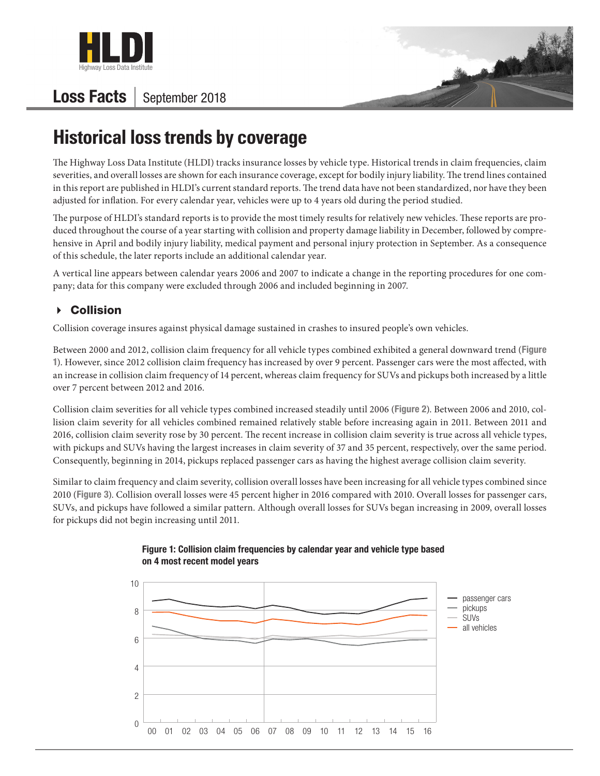

## **Loss Facts** | September 2018



# **Historical loss trends by coverage**

The Highway Loss Data Institute (HLDI) tracks insurance losses by vehicle type. Historical trends in claim frequencies, claim severities, and overall losses are shown for each insurance coverage, except for bodily injury liability. The trend lines contained in this report are published in HLDI's current standard reports. The trend data have not been standardized, nor have they been adjusted for inflation. For every calendar year, vehicles were up to 4 years old during the period studied.

The purpose of HLDI's standard reports is to provide the most timely results for relatively new vehicles. These reports are produced throughout the course of a year starting with collision and property damage liability in December, followed by comprehensive in April and bodily injury liability, medical payment and personal injury protection in September. As a consequence of this schedule, the later reports include an additional calendar year.

A vertical line appears between calendar years 2006 and 2007 to indicate a change in the reporting procedures for one company; data for this company were excluded through 2006 and included beginning in 2007.

## **▶ Collision**

Collision coverage insures against physical damage sustained in crashes to insured people's own vehicles.

Between 2000 and 2012, collision claim frequency for all vehicle types combined exhibited a general downward trend (Figure 1). However, since 2012 collision claim frequency has increased by over 9 percent. Passenger cars were the most affected, with an increase in collision claim frequency of 14 percent, whereas claim frequency for SUVs and pickups both increased by a little over 7 percent between 2012 and 2016.

Collision claim severities for all vehicle types combined increased steadily until 2006 (Figure 2). Between 2006 and 2010, collision claim severity for all vehicles combined remained relatively stable before increasing again in 2011. Between 2011 and 2016, collision claim severity rose by 30 percent. The recent increase in collision claim severity is true across all vehicle types, with pickups and SUVs having the largest increases in claim severity of 37 and 35 percent, respectively, over the same period. Consequently, beginning in 2014, pickups replaced passenger cars as having the highest average collision claim severity.

Similar to claim frequency and claim severity, collision overall losses have been increasing for all vehicle types combined since 2010 (Figure 3). Collision overall losses were 45 percent higher in 2016 compared with 2010. Overall losses for passenger cars, SUVs, and pickups have followed a similar pattern. Although overall losses for SUVs began increasing in 2009, overall losses for pickups did not begin increasing until 2011.



#### Figure 1: Collision claim frequencies by calendar year and vehicle type based on 4 most recent model years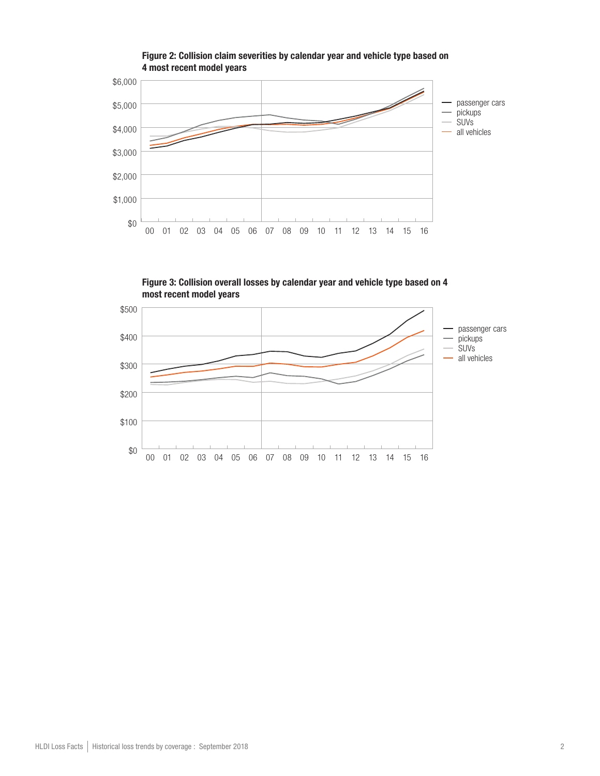

Figure 2: Collision claim severities by calendar year and vehicle type based on 4 most recent model years

Figure 3: Collision overall losses by calendar year and vehicle type based on 4 most recent model years

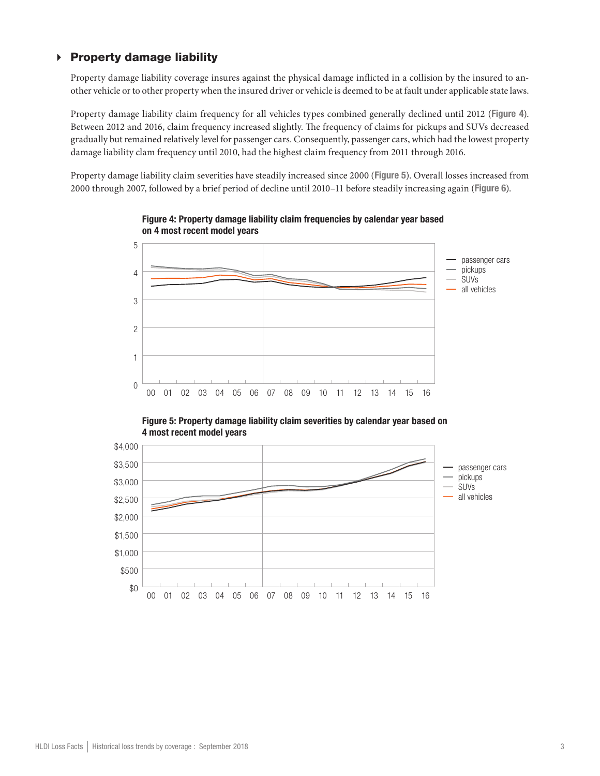### $\triangleright$  Property damage liability

Property damage liability coverage insures against the physical damage inflicted in a collision by the insured to another vehicle or to other property when the insured driver or vehicle is deemed to be at fault under applicable state laws.

Property damage liability claim frequency for all vehicles types combined generally declined until 2012 (Figure 4). Between 2012 and 2016, claim frequency increased slightly. The frequency of claims for pickups and SUVs decreased gradually but remained relatively level for passenger cars. Consequently, passenger cars, which had the lowest property damage liability clam frequency until 2010, had the highest claim frequency from 2011 through 2016.

Property damage liability claim severities have steadily increased since 2000 (Figure 5). Overall losses increased from 2000 through 2007, followed by a brief period of decline until 2010–11 before steadily increasing again (Figure 6).



Figure 4: Property damage liability claim frequencies by calendar year based on 4 most recent model years

Figure 5: Property damage liability claim severities by calendar year based on 4 most recent model years

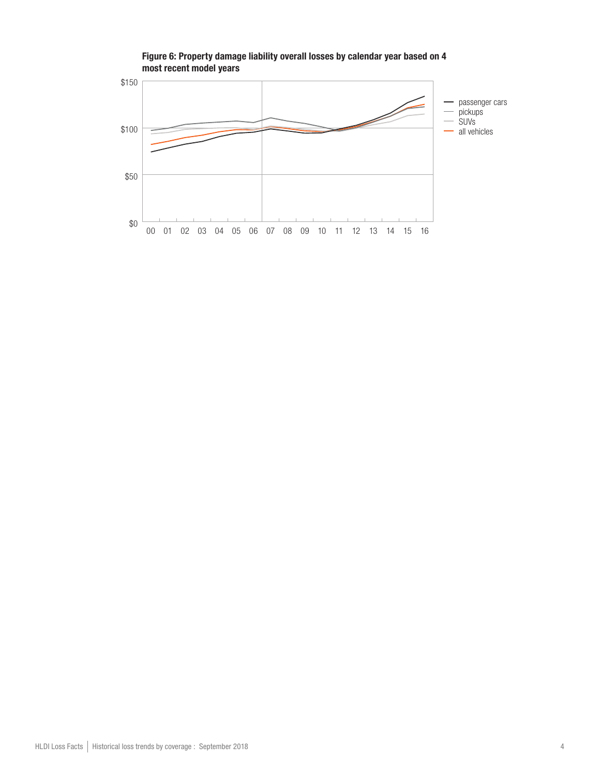

#### Figure 6: Property damage liability overall losses by calendar year based on 4 most recent model years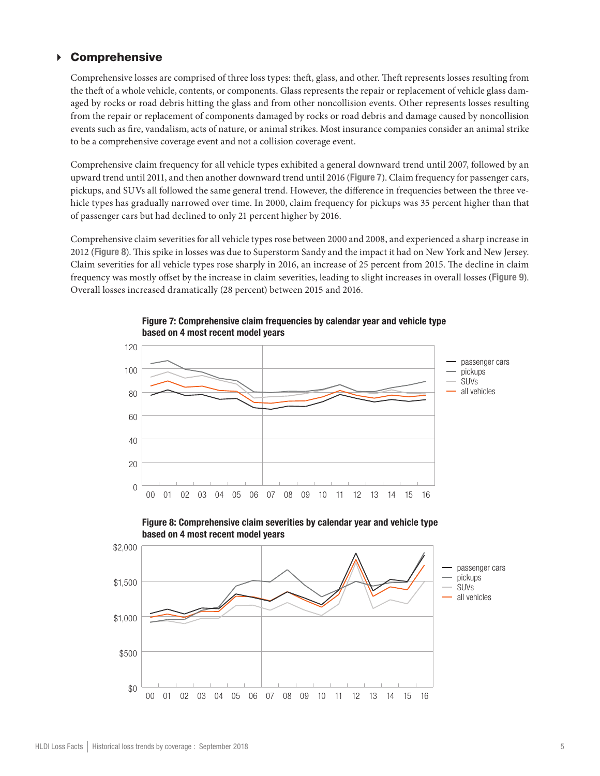#### Comprehensive

Comprehensive losses are comprised of three loss types: theft, glass, and other. Theft represents losses resulting from the theft of a whole vehicle, contents, or components. Glass represents the repair or replacement of vehicle glass damaged by rocks or road debris hitting the glass and from other noncollision events. Other represents losses resulting from the repair or replacement of components damaged by rocks or road debris and damage caused by noncollision events such as fire, vandalism, acts of nature, or animal strikes. Most insurance companies consider an animal strike to be a comprehensive coverage event and not a collision coverage event.

Comprehensive claim frequency for all vehicle types exhibited a general downward trend until 2007, followed by an upward trend until 2011, and then another downward trend until 2016 (Figure 7). Claim frequency for passenger cars, pickups, and SUVs all followed the same general trend. However, the difference in frequencies between the three vehicle types has gradually narrowed over time. In 2000, claim frequency for pickups was 35 percent higher than that of passenger cars but had declined to only 21 percent higher by 2016.

Comprehensive claim severities for all vehicle types rose between 2000 and 2008, and experienced a sharp increase in 2012 (Figure 8). This spike in losses was due to Superstorm Sandy and the impact it had on New York and New Jersey. Claim severities for all vehicle types rose sharply in 2016, an increase of 25 percent from 2015. The decline in claim frequency was mostly offset by the increase in claim severities, leading to slight increases in overall losses (Figure 9). Overall losses increased dramatically (28 percent) between 2015 and 2016.



Figure 7: Comprehensive claim frequencies by calendar year and vehicle type based on 4 most recent model years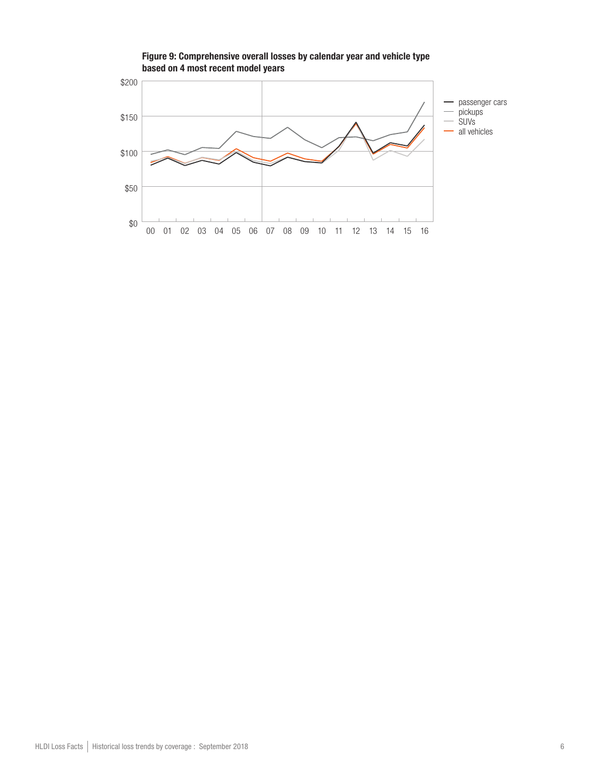

Figure 9: Comprehensive overall losses by calendar year and vehicle type based on 4 most recent model years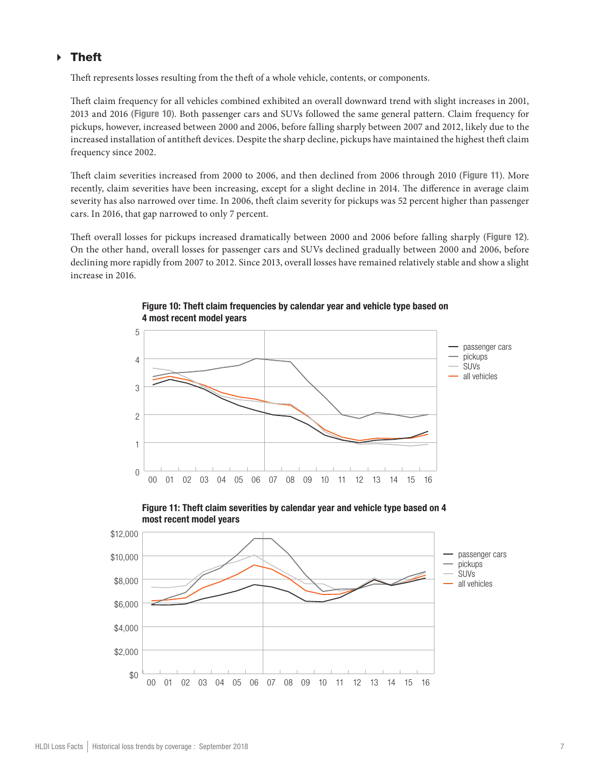## Theft

Theft represents losses resulting from the theft of a whole vehicle, contents, or components.

Theft claim frequency for all vehicles combined exhibited an overall downward trend with slight increases in 2001, 2013 and 2016 (Figure 10). Both passenger cars and SUVs followed the same general pattern. Claim frequency for pickups, however, increased between 2000 and 2006, before falling sharply between 2007 and 2012, likely due to the increased installation of antitheft devices. Despite the sharp decline, pickups have maintained the highest theft claim frequency since 2002.

Theft claim severities increased from 2000 to 2006, and then declined from 2006 through 2010 (Figure 11). More recently, claim severities have been increasing, except for a slight decline in 2014. The difference in average claim severity has also narrowed over time. In 2006, theft claim severity for pickups was 52 percent higher than passenger cars. In 2016, that gap narrowed to only 7 percent.

Theft overall losses for pickups increased dramatically between 2000 and 2006 before falling sharply (Figure 12). On the other hand, overall losses for passenger cars and SUVs declined gradually between 2000 and 2006, before declining more rapidly from 2007 to 2012. Since 2013, overall losses have remained relatively stable and show a slight increase in 2016.



Figure 10: Theft claim frequencies by calendar year and vehicle type based on 4 most recent model years

Figure 11: Theft claim severities by calendar year and vehicle type based on 4 most recent model years

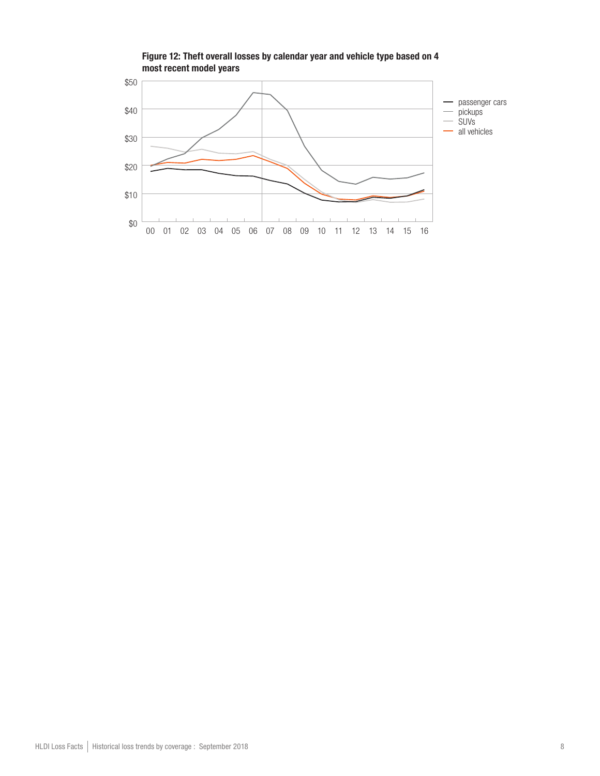

Figure 12: Theft overall losses by calendar year and vehicle type based on 4 most recent model years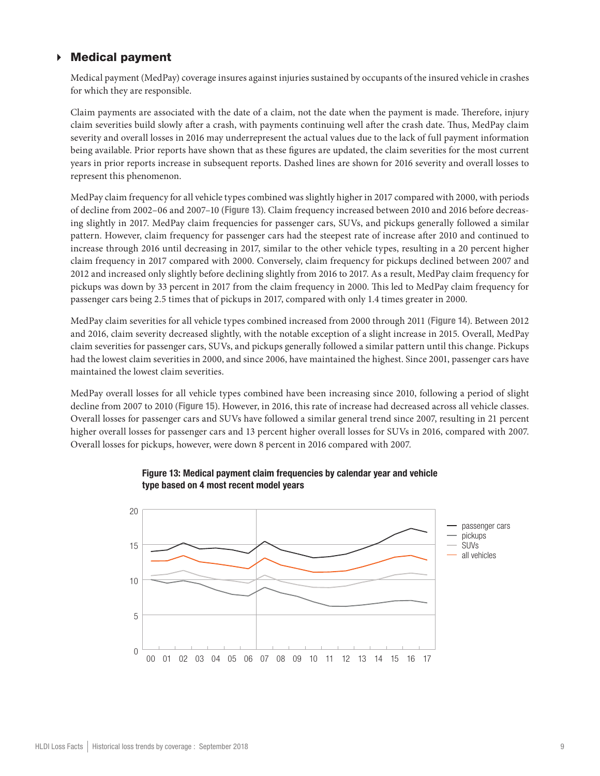### Medical payment

Medical payment (MedPay) coverage insures against injuries sustained by occupants of the insured vehicle in crashes for which they are responsible.

Claim payments are associated with the date of a claim, not the date when the payment is made. Therefore, injury claim severities build slowly after a crash, with payments continuing well after the crash date. Thus, MedPay claim severity and overall losses in 2016 may underrepresent the actual values due to the lack of full payment information being available. Prior reports have shown that as these figures are updated, the claim severities for the most current years in prior reports increase in subsequent reports. Dashed lines are shown for 2016 severity and overall losses to represent this phenomenon.

MedPay claim frequency for all vehicle types combined was slightly higher in 2017 compared with 2000, with periods of decline from 2002–06 and 2007–10 (Figure 13). Claim frequency increased between 2010 and 2016 before decreasing slightly in 2017. MedPay claim frequencies for passenger cars, SUVs, and pickups generally followed a similar pattern. However, claim frequency for passenger cars had the steepest rate of increase after 2010 and continued to increase through 2016 until decreasing in 2017, similar to the other vehicle types, resulting in a 20 percent higher claim frequency in 2017 compared with 2000. Conversely, claim frequency for pickups declined between 2007 and 2012 and increased only slightly before declining slightly from 2016 to 2017. As a result, MedPay claim frequency for pickups was down by 33 percent in 2017 from the claim frequency in 2000. This led to MedPay claim frequency for passenger cars being 2.5 times that of pickups in 2017, compared with only 1.4 times greater in 2000.

MedPay claim severities for all vehicle types combined increased from 2000 through 2011 (Figure 14). Between 2012 and 2016, claim severity decreased slightly, with the notable exception of a slight increase in 2015. Overall, MedPay claim severities for passenger cars, SUVs, and pickups generally followed a similar pattern until this change. Pickups had the lowest claim severities in 2000, and since 2006, have maintained the highest. Since 2001, passenger cars have maintained the lowest claim severities.

MedPay overall losses for all vehicle types combined have been increasing since 2010, following a period of slight decline from 2007 to 2010 (Figure 15). However, in 2016, this rate of increase had decreased across all vehicle classes. Overall losses for passenger cars and SUVs have followed a similar general trend since 2007, resulting in 21 percent higher overall losses for passenger cars and 13 percent higher overall losses for SUVs in 2016, compared with 2007. Overall losses for pickups, however, were down 8 percent in 2016 compared with 2007.



#### Figure 13: Medical payment claim frequencies by calendar year and vehicle type based on 4 most recent model years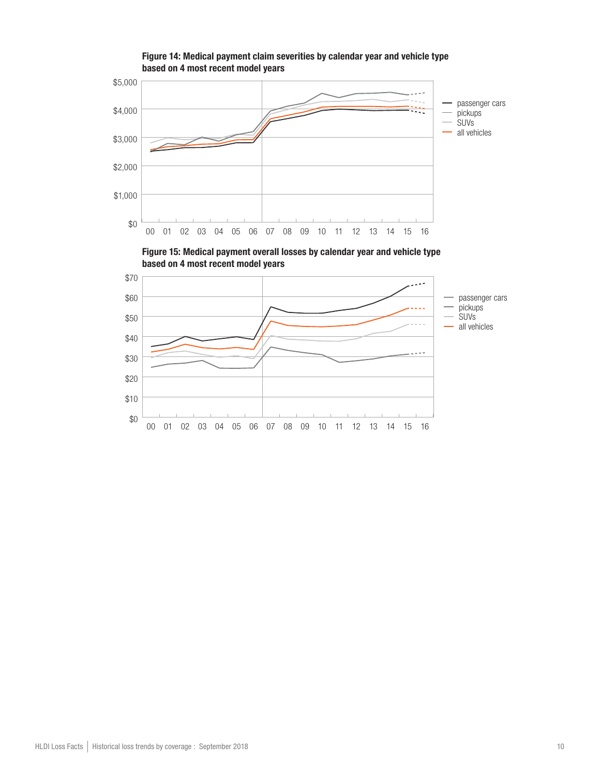

Figure 14: Medical payment claim severities by calendar year and vehicle type based on 4 most recent model years

Figure 15: Medical payment overall losses by calendar year and vehicle type based on 4 most recent model years

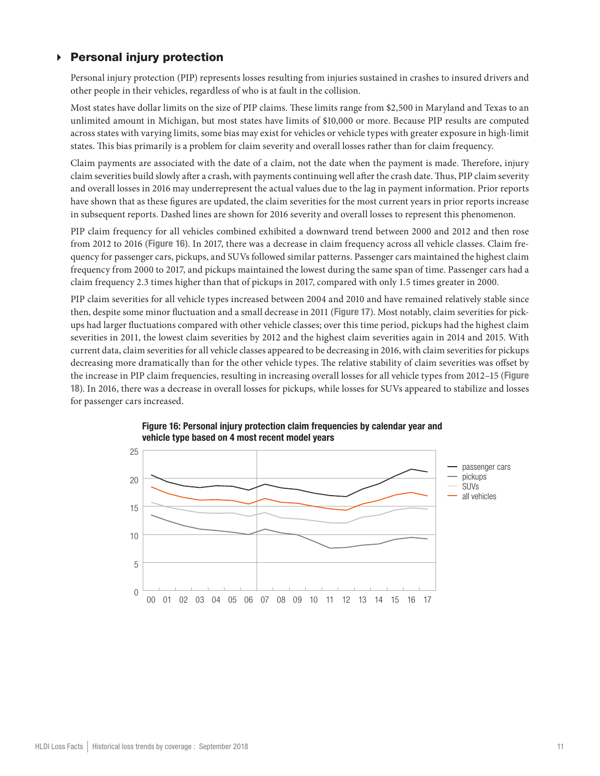## $\triangleright$  Personal injury protection

Personal injury protection (PIP) represents losses resulting from injuries sustained in crashes to insured drivers and other people in their vehicles, regardless of who is at fault in the collision.

Most states have dollar limits on the size of PIP claims. These limits range from \$2,500 in Maryland and Texas to an unlimited amount in Michigan, but most states have limits of \$10,000 or more. Because PIP results are computed across states with varying limits, some bias may exist for vehicles or vehicle types with greater exposure in high-limit states. This bias primarily is a problem for claim severity and overall losses rather than for claim frequency.

Claim payments are associated with the date of a claim, not the date when the payment is made. Therefore, injury claim severities build slowly after a crash, with payments continuing well after the crash date. Thus, PIP claim severity and overall losses in 2016 may underrepresent the actual values due to the lag in payment information. Prior reports have shown that as these figures are updated, the claim severities for the most current years in prior reports increase in subsequent reports. Dashed lines are shown for 2016 severity and overall losses to represent this phenomenon.

PIP claim frequency for all vehicles combined exhibited a downward trend between 2000 and 2012 and then rose from 2012 to 2016 (Figure 16). In 2017, there was a decrease in claim frequency across all vehicle classes. Claim frequency for passenger cars, pickups, and SUVs followed similar patterns. Passenger cars maintained the highest claim frequency from 2000 to 2017, and pickups maintained the lowest during the same span of time. Passenger cars had a claim frequency 2.3 times higher than that of pickups in 2017, compared with only 1.5 times greater in 2000.

PIP claim severities for all vehicle types increased between 2004 and 2010 and have remained relatively stable since then, despite some minor fluctuation and a small decrease in 2011 (Figure 17). Most notably, claim severities for pickups had larger fluctuations compared with other vehicle classes; over this time period, pickups had the highest claim severities in 2011, the lowest claim severities by 2012 and the highest claim severities again in 2014 and 2015. With current data, claim severities for all vehicle classes appeared to be decreasing in 2016, with claim severities for pickups decreasing more dramatically than for the other vehicle types. The relative stability of claim severities was offset by the increase in PIP claim frequencies, resulting in increasing overall losses for all vehicle types from 2012–15 (Figure 18). In 2016, there was a decrease in overall losses for pickups, while losses for SUVs appeared to stabilize and losses for passenger cars increased.